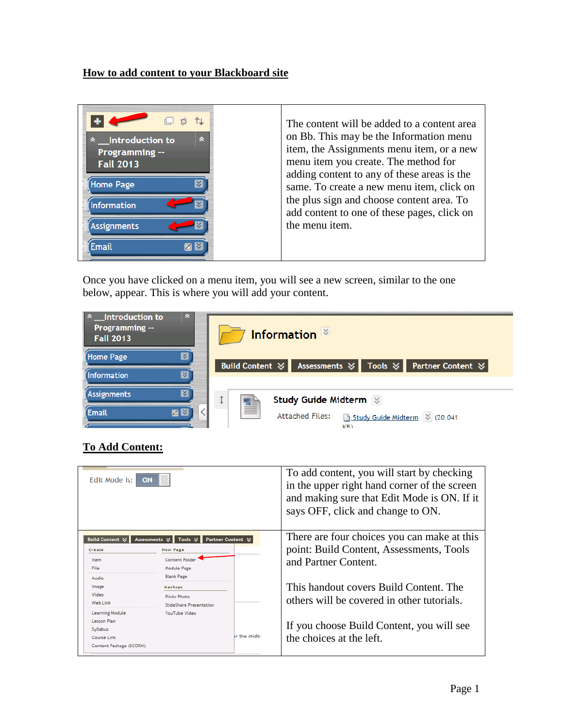## **How to add content to your Blackboard site**

Once you have clicked on a menu item, you will see a new screen, similar to the one below, appear. This is where you will add your content.



## **To Add Content:**

| Edit Mode is: I<br><b>ON</b>                                                         |                                                                                |                               | To add content, you will start by checking<br>in the upper right hand corner of the screen<br>and making sure that Edit Mode is ON. If it<br>says OFF, click and change to ON. |
|--------------------------------------------------------------------------------------|--------------------------------------------------------------------------------|-------------------------------|--------------------------------------------------------------------------------------------------------------------------------------------------------------------------------|
| <b>Build Content ☆</b><br><b>Assessments</b><br>Create                               | Tools $\approx$<br><b>New Page</b>                                             | Partner Content $\mathcal{C}$ | There are four choices you can make at this<br>point: Build Content, Assessments, Tools                                                                                        |
| Item<br>File                                                                         | <b>Content Folder</b><br>Module Page                                           |                               | and Partner Content.                                                                                                                                                           |
| Audio<br>Image<br>Video<br>Web Link                                                  | <b>Blank Page</b><br>Mashups<br><b>Flickr Photo</b><br>SlideShare Presentation |                               | This handout covers Build Content. The<br>others will be covered in other tutorials.                                                                                           |
| Learning Module<br>Lesson Plan<br>Syllabus<br>Course Link<br>Content Package (SCORM) | YouTube Video                                                                  | or the midte                  | If you choose Build Content, you will see<br>the choices at the left.                                                                                                          |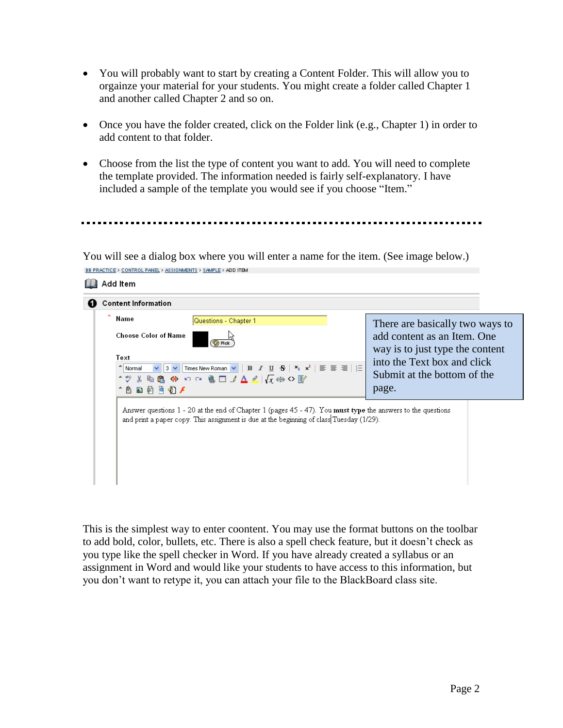- You will probably want to start by creating a Content Folder. This will allow you to orgainze your material for your students. You might create a folder called Chapter 1 and another called Chapter 2 and so on.
- Once you have the folder created, click on the Folder link (e.g., Chapter 1) in order to add content to that folder.
- Choose from the list the type of content you want to add. You will need to complete the template provided. The information needed is fairly self-explanatory. I have included a sample of the template you would see if you choose "Item."

You will see a dialog box where you will enter a name for the item. (See image below.) BB PRACTICE > CONTROL PANEL > ASSIGNMENTS > SAMPLE > ADD ITEM



This is the simplest way to enter coontent. You may use the format buttons on the toolbar to add bold, color, bullets, etc. There is also a spell check feature, but it doesn't check as you type like the spell checker in Word. If you have already created a syllabus or an assignment in Word and would like your students to have access to this information, but you don't want to retype it, you can attach your file to the BlackBoard class site.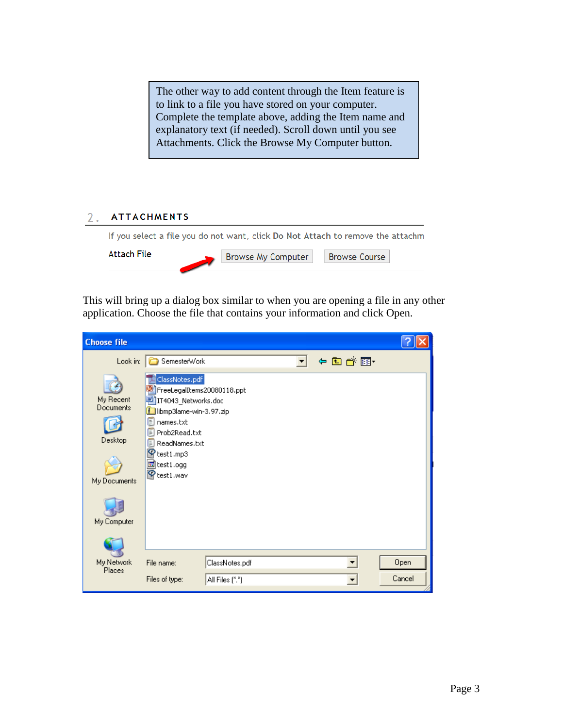The other way to add content through the Item feature is to link to a file you have stored on your computer. Complete the template above, adding the Item name and explanatory text (if needed). Scroll down until you see Attachments. Click the Browse My Computer button.

## **ATTACHMENTS**  $2.$

|             | If you select a file you do not want, click Do Not Attach to remove the attachm |  |  |
|-------------|---------------------------------------------------------------------------------|--|--|
| Attach File | Browse My Computer   Browse Course                                              |  |  |
|             |                                                                                 |  |  |

This will bring up a dialog box similar to when you are opening a file in any other application. Choose the file that contains your information and click Open.

| <b>Choose file</b>                                               |                                                                                                                                                                                                                   |                 |  |        |        |
|------------------------------------------------------------------|-------------------------------------------------------------------------------------------------------------------------------------------------------------------------------------------------------------------|-----------------|--|--------|--------|
| Look in:                                                         | SemesterWork                                                                                                                                                                                                      |                 |  | ←白び雨 → |        |
| My Recent<br>Documents<br>Desktop<br>My Documents<br>My Computer | ClassNotes.pdf<br>FreeLegalItems20080118.ppt<br>IT4043_Networks.doc<br>libmp3lame-win-3.97.zip<br>D names.txt<br>F<br>Prob2Read.txt<br>$\mathbb{E}$<br>ReadNames.txt<br>test1.mp3<br>test1.ogg<br>ଢ<br>'test1.wav |                 |  |        |        |
| My Network                                                       | File name:                                                                                                                                                                                                        | ClassNotes.pdf  |  |        | Open   |
| Places                                                           | Files of type:                                                                                                                                                                                                    | All Files (*.*) |  |        | Cancel |